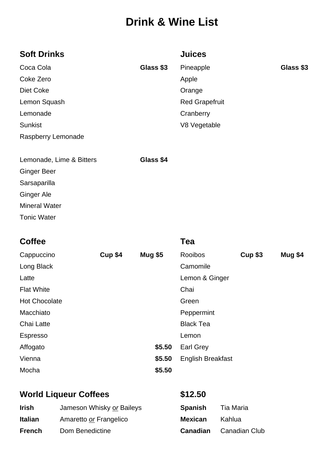# **Drink & Wine List**

| <b>Soft Drinks</b>       |           | <b>Juices</b>         |           |
|--------------------------|-----------|-----------------------|-----------|
| Coca Cola                | Glass \$3 | Pineapple             | Glass \$3 |
| Coke Zero                |           | Apple                 |           |
| Diet Coke                |           | Orange                |           |
| Lemon Squash             |           | <b>Red Grapefruit</b> |           |
| Lemonade                 |           | Cranberry             |           |
| <b>Sunkist</b>           |           | V8 Vegetable          |           |
| Raspberry Lemonade       |           |                       |           |
| Lemonade, Lime & Bitters | Glass \$4 |                       |           |
| <b>Ginger Beer</b>       |           |                       |           |
| Sarsaparilla             |           |                       |           |
| <b>Ginger Ale</b>        |           |                       |           |
| <b>Mineral Water</b>     |           |                       |           |
| <b>Tonic Water</b>       |           |                       |           |

| <b>Coffee</b>        |                |                | Tea                      |                |                |
|----------------------|----------------|----------------|--------------------------|----------------|----------------|
| Cappuccino           | <b>Cup \$4</b> | <b>Mug \$5</b> | Rooibos                  | <b>Cup \$3</b> | <b>Mug \$4</b> |
| Long Black           |                |                | Camomile                 |                |                |
| Latte                |                |                | Lemon & Ginger           |                |                |
| <b>Flat White</b>    |                |                | Chai                     |                |                |
| <b>Hot Chocolate</b> |                |                | Green                    |                |                |
| Macchiato            |                |                | Peppermint               |                |                |
| Chai Latte           |                |                | <b>Black Tea</b>         |                |                |
| Espresso             |                |                | Lemon                    |                |                |
| Affogato             |                | \$5.50         | <b>Earl Grey</b>         |                |                |
| Vienna               |                | \$5.50         | <b>English Breakfast</b> |                |                |
| Mocha                |                | \$5.50         |                          |                |                |
|                      |                |                |                          |                |                |

## World Liqueur Coffees \$12.50

| <b>Irish</b>   | Jameson Whisky or Baileys | <b>Spanish</b> | Tia Maria     |
|----------------|---------------------------|----------------|---------------|
| <b>Italian</b> | Amaretto or Frangelico    | <b>Mexican</b> | <b>Kahlua</b> |
| <b>French</b>  | Dom Benedictine           | Canadian       | Canadian Club |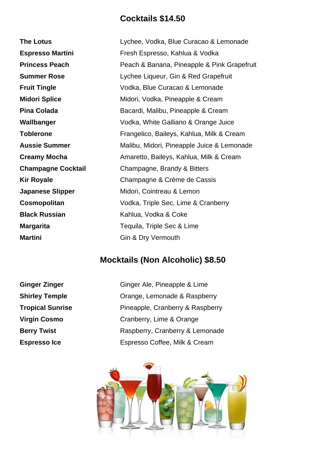#### **Cocktails \$14.50**

| <b>The Lotus</b>          | Lychee, Vodka, Blue Curacao & Lemonade      |
|---------------------------|---------------------------------------------|
| <b>Espresso Martini</b>   | Fresh Espresso, Kahlua & Vodka              |
| <b>Princess Peach</b>     | Peach & Banana, Pineapple & Pink Grapefruit |
| <b>Summer Rose</b>        | Lychee Liqueur, Gin & Red Grapefruit        |
| <b>Fruit Tingle</b>       | Vodka, Blue Curacao & Lemonade              |
| <b>Midori Splice</b>      | Midori, Vodka, Pineapple & Cream            |
| <b>Pina Colada</b>        | Bacardi, Malibu, Pineapple & Cream          |
| Wallbanger                | Vodka, White Galliano & Orange Juice        |
| <b>Toblerone</b>          | Frangelico, Baileys, Kahlua, Milk & Cream   |
| <b>Aussie Summer</b>      | Malibu, Midori, Pineapple Juice & Lemonade  |
| <b>Creamy Mocha</b>       | Amaretto, Baileys, Kahlua, Milk & Cream     |
| <b>Champagne Cocktail</b> | Champagne, Brandy & Bitters                 |
| <b>Kir Royale</b>         | Champagne & Crème de Cassis                 |
| <b>Japanese Slipper</b>   | Midori, Cointreau & Lemon                   |
| Cosmopolitan              | Vodka, Triple Sec, Lime & Cranberry         |
| <b>Black Russian</b>      | Kahlua, Vodka & Coke                        |
| <b>Margarita</b>          | Tequila, Triple Sec & Lime                  |
| <b>Martini</b>            | Gin & Dry Vermouth                          |

## **Mocktails (Non Alcoholic) \$8.50**

**Ginger Zinger** Ginger Ale, Pineapple & Lime **Shirley Temple Crange, Lemonade & Raspberry Tropical Sunrise** Pineapple, Cranberry & Raspberry **Virgin Cosmo** Cranberry, Lime & Orange **Berry Twist** Raspberry, Cranberry & Lemonade **Espresso Ice** Espresso Coffee, Milk & Cream

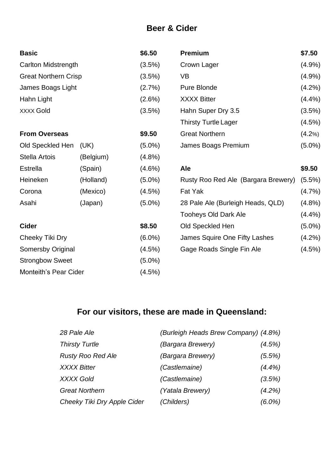#### **Beer & Cider**

| <b>Basic</b>                 |           | \$6.50    | <b>Premium</b>                      | \$7.50    |
|------------------------------|-----------|-----------|-------------------------------------|-----------|
| Carlton Midstrength          |           | (3.5%)    | Crown Lager                         | $(4.9\%)$ |
| <b>Great Northern Crisp</b>  |           | (3.5%)    | <b>VB</b>                           | $(4.9\%)$ |
| James Boags Light            |           | (2.7%)    | Pure Blonde                         | (4.2%)    |
| Hahn Light                   |           | (2.6%)    | <b>XXXX Bitter</b>                  | (4.4%)    |
| <b>XXXX Gold</b>             |           | (3.5%)    | Hahn Super Dry 3.5                  | (3.5%)    |
|                              |           |           | <b>Thirsty Turtle Lager</b>         | (4.5%)    |
| <b>From Overseas</b>         |           | \$9.50    | <b>Great Northern</b>               | (4.2%)    |
| Old Speckled Hen             | (UK)      | $(5.0\%)$ | James Boags Premium                 | $(5.0\%)$ |
| <b>Stella Artois</b>         | (Belgium) | $(4.8\%)$ |                                     |           |
| <b>Estrella</b>              | (Spain)   | $(4.6\%)$ | Ale                                 | \$9.50    |
| Heineken                     | (Holland) | $(5.0\%)$ | Rusty Roo Red Ale (Bargara Brewery) | $(5.5\%)$ |
| Corona                       | (Mexico)  | (4.5%)    | Fat Yak                             | $(4.7\%)$ |
| Asahi                        | (Japan)   | $(5.0\%)$ | 28 Pale Ale (Burleigh Heads, QLD)   | $(4.8\%)$ |
|                              |           |           | <b>Tooheys Old Dark Ale</b>         | $(4.4\%)$ |
| <b>Cider</b>                 |           | \$8.50    | Old Speckled Hen                    | $(5.0\%)$ |
| Cheeky Tiki Dry              |           | $(6.0\%)$ | James Squire One Fifty Lashes       | $(4.2\%)$ |
| Somersby Original            |           | (4.5%)    | Gage Roads Single Fin Ale           | (4.5%)    |
| <b>Strongbow Sweet</b>       |           | $(5.0\%)$ |                                     |           |
| <b>Monteith's Pear Cider</b> |           | (4.5%)    |                                     |           |

## **For our visitors, these are made in Queensland:**

| 28 Pale Ale                 | (Burleigh Heads Brew Company) (4.8%) |           |
|-----------------------------|--------------------------------------|-----------|
| <b>Thirsty Turtle</b>       | (Bargara Brewery)                    | $(4.5\%)$ |
| <b>Rusty Roo Red Ale</b>    | (Bargara Brewery)                    | (5.5%)    |
| <b>XXXX Bitter</b>          | (Castlemaine)                        | $(4.4\%)$ |
| <b>XXXX Gold</b>            | (Castlemaine)                        | (3.5%)    |
| <b>Great Northern</b>       | (Yatala Brewery)                     | $(4.2\%)$ |
| Cheeky Tiki Dry Apple Cider | (Childers)                           | $(6.0\%)$ |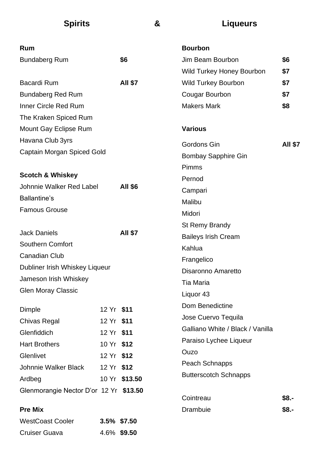| <b>Spirits</b>                         |            |                | & | <b>Liqueurs</b>                  |                |
|----------------------------------------|------------|----------------|---|----------------------------------|----------------|
| Rum                                    |            |                |   | <b>Bourbon</b>                   |                |
| <b>Bundaberg Rum</b>                   |            | \$6            |   | Jim Beam Bourbon                 | \$6            |
|                                        |            |                |   | Wild Turkey Honey Bourbon        | \$7            |
| <b>Bacardi Rum</b>                     |            | <b>All \$7</b> |   | <b>Wild Turkey Bourbon</b>       | \$7            |
| <b>Bundaberg Red Rum</b>               |            |                |   | <b>Cougar Bourbon</b>            | \$7            |
| <b>Inner Circle Red Rum</b>            |            |                |   | <b>Makers Mark</b>               | \$8            |
| The Kraken Spiced Rum                  |            |                |   |                                  |                |
| Mount Gay Eclipse Rum                  |            |                |   | <b>Various</b>                   |                |
| Havana Club 3yrs                       |            |                |   | <b>Gordons Gin</b>               | <b>AII \$7</b> |
| Captain Morgan Spiced Gold             |            |                |   | <b>Bombay Sapphire Gin</b>       |                |
|                                        |            |                |   | Pimms                            |                |
| <b>Scotch &amp; Whiskey</b>            |            |                |   | Pernod                           |                |
| Johnnie Walker Red Label               |            | <b>All \$6</b> |   | Campari                          |                |
| <b>Ballantine's</b>                    |            |                |   | Malibu                           |                |
| <b>Famous Grouse</b>                   |            |                |   | Midori                           |                |
|                                        |            |                |   | <b>St Remy Brandy</b>            |                |
| <b>Jack Daniels</b>                    |            | <b>All \$7</b> |   | <b>Baileys Irish Cream</b>       |                |
| <b>Southern Comfort</b>                |            |                |   | Kahlua                           |                |
| <b>Canadian Club</b>                   |            |                |   | Frangelico                       |                |
| Dubliner Irish Whiskey Liqueur         |            |                |   | Disaronno Amaretto               |                |
| Jameson Irish Whiskey                  |            |                |   | <b>Tia Maria</b>                 |                |
| <b>Glen Moray Classic</b>              |            |                |   | Liquor 43                        |                |
| Dimple                                 | 12 Yr \$11 |                |   | Dom Benedictine                  |                |
| Chivas Regal                           | 12 Yr \$11 |                |   | Jose Cuervo Tequila              |                |
| Glenfiddich                            | 12 Yr \$11 |                |   | Galliano White / Black / Vanilla |                |
| <b>Hart Brothers</b>                   | 10 Yr \$12 |                |   | Paraiso Lychee Liqueur           |                |
| Glenlivet                              | 12 Yr \$12 |                |   | Ouzo                             |                |
| Johnnie Walker Black                   | 12 Yr \$12 |                |   | Peach Schnapps                   |                |
| Ardbeg                                 |            | 10 Yr \$13.50  |   | <b>Butterscotch Schnapps</b>     |                |
| Glenmorangie Nector D'or 12 Yr \$13.50 |            |                |   |                                  |                |
|                                        |            |                |   | Cointreau                        | $$8. -$        |
| <b>Pre Mix</b>                         |            |                |   | Drambuie                         | $$8. -$        |
| <b>WestCoast Cooler</b>                |            | 3.5% \$7.50    |   |                                  |                |
| <b>Cruiser Guava</b>                   |            | 4.6% \$9.50    |   |                                  |                |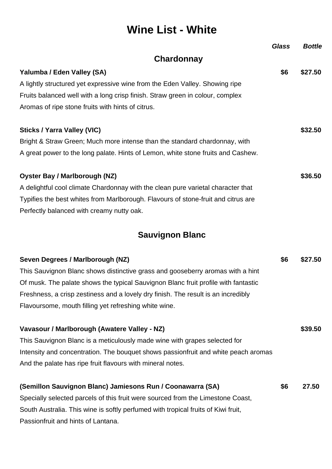# **Wine List - White**

|                                                                                   | <b>Glass</b> | <b>Bottle</b> |
|-----------------------------------------------------------------------------------|--------------|---------------|
| Chardonnay                                                                        |              |               |
| Yalumba / Eden Valley (SA)                                                        | \$6          | \$27.50       |
| A lightly structured yet expressive wine from the Eden Valley. Showing ripe       |              |               |
| Fruits balanced well with a long crisp finish. Straw green in colour, complex     |              |               |
| Aromas of ripe stone fruits with hints of citrus.                                 |              |               |
| <b>Sticks / Yarra Valley (VIC)</b>                                                |              | \$32.50       |
| Bright & Straw Green; Much more intense than the standard chardonnay, with        |              |               |
| A great power to the long palate. Hints of Lemon, white stone fruits and Cashew.  |              |               |
| <b>Oyster Bay / Marlborough (NZ)</b>                                              |              | \$36.50       |
| A delightful cool climate Chardonnay with the clean pure varietal character that  |              |               |
| Typifies the best whites from Marlborough. Flavours of stone-fruit and citrus are |              |               |
| Perfectly balanced with creamy nutty oak.                                         |              |               |
|                                                                                   |              |               |

## **Sauvignon Blanc**

| Seven Degrees / Marlborough (NZ)                                                   | \$6 | \$27.50 |
|------------------------------------------------------------------------------------|-----|---------|
| This Sauvignon Blanc shows distinctive grass and gooseberry aromas with a hint     |     |         |
| Of musk. The palate shows the typical Sauvignon Blanc fruit profile with fantastic |     |         |
| Freshness, a crisp zestiness and a lovely dry finish. The result is an incredibly  |     |         |
| Flavoursome, mouth filling yet refreshing white wine.                              |     |         |
| Vavasour / Marlborough (Awatere Valley - NZ)                                       |     | \$39.50 |
| This Sauvignon Blanc is a meticulously made wine with grapes selected for          |     |         |
| Intensity and concentration. The bouquet shows passionfruit and white peach aromas |     |         |
| And the palate has ripe fruit flavours with mineral notes.                         |     |         |
| (Semillon Sauvignon Blanc) Jamiesons Run / Coonawarra (SA)                         | \$6 | 27.50   |
| Specially selected parcels of this fruit were sourced from the Limestone Coast,    |     |         |
| South Australia. This wine is softly perfumed with tropical fruits of Kiwi fruit,  |     |         |

Passionfruit and hints of Lantana.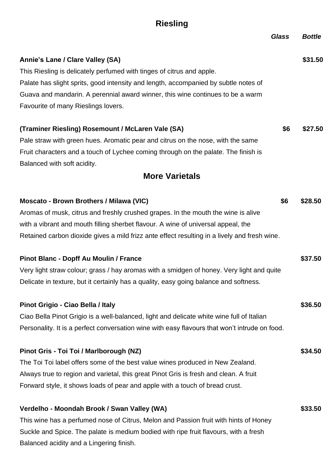## **Riesling**

|                                                                                               | <b>Glass</b> | <b>Bottle</b> |
|-----------------------------------------------------------------------------------------------|--------------|---------------|
| Annie's Lane / Clare Valley (SA)                                                              |              | \$31.50       |
| This Riesling is delicately perfumed with tinges of citrus and apple.                         |              |               |
| Palate has slight sprits, good intensity and length, accompanied by subtle notes of           |              |               |
| Guava and mandarin. A perennial award winner, this wine continues to be a warm                |              |               |
| Favourite of many Rieslings lovers.                                                           |              |               |
| (Traminer Riesling) Rosemount / McLaren Vale (SA)                                             | \$6          | \$27.50       |
| Pale straw with green hues. Aromatic pear and citrus on the nose, with the same               |              |               |
| Fruit characters and a touch of Lychee coming through on the palate. The finish is            |              |               |
| Balanced with soft acidity.                                                                   |              |               |
| <b>More Varietals</b>                                                                         |              |               |
| Moscato - Brown Brothers / Milawa (VIC)                                                       | \$6          | \$28.50       |
| Aromas of musk, citrus and freshly crushed grapes. In the mouth the wine is alive             |              |               |
| with a vibrant and mouth filling sherbet flavour. A wine of universal appeal, the             |              |               |
| Retained carbon dioxide gives a mild frizz ante effect resulting in a lively and fresh wine.  |              |               |
| Pinot Blanc - Dopff Au Moulin / France                                                        |              | \$37.50       |
| Very light straw colour; grass / hay aromas with a smidgen of honey. Very light and quite     |              |               |
| Delicate in texture, but it certainly has a quality, easy going balance and softness.         |              |               |
| Pinot Grigio - Ciao Bella / Italy                                                             |              | \$36.50       |
| Ciao Bella Pinot Grigio is a well-balanced, light and delicate white wine full of Italian     |              |               |
| Personality. It is a perfect conversation wine with easy flavours that won't intrude on food. |              |               |
| Pinot Gris - Toi Toi / Marlborough (NZ)                                                       |              | \$34.50       |
| The Toi Toi label offers some of the best value wines produced in New Zealand.                |              |               |
| Always true to region and varietal, this great Pinot Gris is fresh and clean. A fruit         |              |               |
| Forward style, it shows loads of pear and apple with a touch of bread crust.                  |              |               |
| Verdelho - Moondah Brook / Swan Valley (WA)                                                   |              | \$33.50       |
| This wine has a perfumed nose of Citrus, Melon and Passion fruit with hints of Honey          |              |               |
| Suckle and Spice. The palate is medium bodied with ripe fruit flavours, with a fresh          |              |               |

Balanced acidity and a Lingering finish.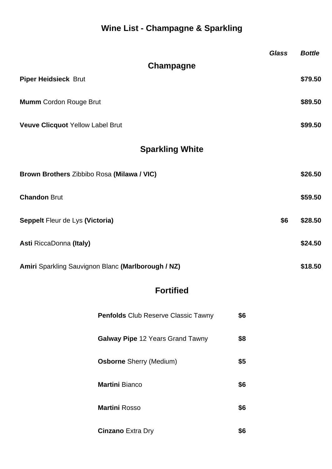## **Wine List - Champagne & Sparkling**

|                                                    | <b>Glass</b> | <b>Bottle</b> |
|----------------------------------------------------|--------------|---------------|
| Champagne                                          |              |               |
| <b>Piper Heidsieck Brut</b>                        |              | \$79.50       |
| <b>Mumm</b> Cordon Rouge Brut                      |              | \$89.50       |
| <b>Veuve Clicquot Yellow Label Brut</b>            |              | \$99.50       |
| <b>Sparkling White</b>                             |              |               |
| Brown Brothers Zibbibo Rosa (Milawa / VIC)         |              | \$26.50       |
| <b>Chandon Brut</b>                                |              | \$59.50       |
| Seppelt Fleur de Lys (Victoria)                    | \$6          | \$28.50       |
| Asti RiccaDonna (Italy)                            |              | \$24.50       |
| Amiri Sparkling Sauvignon Blanc (Marlborough / NZ) |              | \$18.50       |

## **Fortified**

| <b>Penfolds</b> Club Reserve Classic Tawny | \$6 |
|--------------------------------------------|-----|
| <b>Galway Pipe</b> 12 Years Grand Tawny    | \$8 |
| <b>Osborne</b> Sherry (Medium)             | \$5 |
| <b>Martini Bianco</b>                      | \$6 |
| <b>Martini Rosso</b>                       | \$6 |
| <b>Cinzano</b> Extra Dry                   | 56  |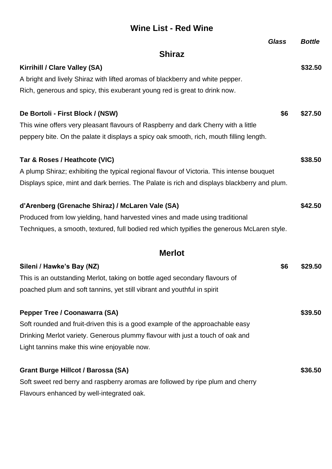#### **Wine List - Red Wine**

|                                                                                             | <b>Glass</b> | <b>Bottle</b> |  |  |
|---------------------------------------------------------------------------------------------|--------------|---------------|--|--|
| <b>Shiraz</b>                                                                               |              |               |  |  |
| Kirrihill / Clare Valley (SA)                                                               |              | \$32.50       |  |  |
| A bright and lively Shiraz with lifted aromas of blackberry and white pepper.               |              |               |  |  |
| Rich, generous and spicy, this exuberant young red is great to drink now.                   |              |               |  |  |
| De Bortoli - First Block / (NSW)                                                            | \$6          | \$27.50       |  |  |
| This wine offers very pleasant flavours of Raspberry and dark Cherry with a little          |              |               |  |  |
| peppery bite. On the palate it displays a spicy oak smooth, rich, mouth filling length.     |              |               |  |  |
| Tar & Roses / Heathcote (VIC)                                                               |              | \$38.50       |  |  |
| A plump Shiraz; exhibiting the typical regional flavour of Victoria. This intense bouquet   |              |               |  |  |
| Displays spice, mint and dark berries. The Palate is rich and displays blackberry and plum. |              |               |  |  |
| d'Arenberg (Grenache Shiraz) / McLaren Vale (SA)                                            |              | \$42.50       |  |  |
| Produced from low yielding, hand harvested vines and made using traditional                 |              |               |  |  |
| Techniques, a smooth, textured, full bodied red which typifies the generous McLaren style.  |              |               |  |  |
| <b>Merlot</b>                                                                               |              |               |  |  |
| Sileni / Hawke's Bay (NZ)                                                                   | \$6          | \$29.50       |  |  |
| This is an outstanding Merlot, taking on bottle aged secondary flavours of                  |              |               |  |  |
| poached plum and soft tannins, yet still vibrant and youthful in spirit                     |              |               |  |  |
| <b>Pepper Tree / Coonawarra (SA)</b>                                                        |              | \$39.50       |  |  |
| Soft rounded and fruit-driven this is a good example of the approachable easy               |              |               |  |  |
| Drinking Merlot variety. Generous plummy flavour with just a touch of oak and               |              |               |  |  |
| Light tannins make this wine enjoyable now.                                                 |              |               |  |  |
| <b>Grant Burge Hillcot / Barossa (SA)</b>                                                   |              | \$36.50       |  |  |
| Soft sweet red berry and raspberry aromas are followed by ripe plum and cherry              |              |               |  |  |
| Flavours enhanced by well-integrated oak.                                                   |              |               |  |  |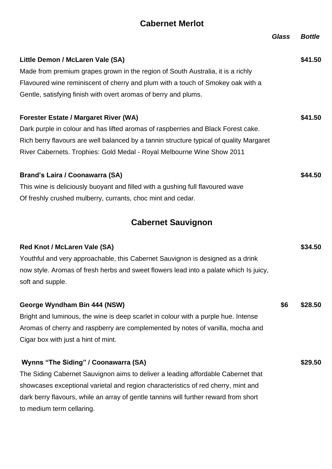#### **Cabernet Merlot**

|                                                                                         | <b>Glass</b> | <b>Bottle</b> |
|-----------------------------------------------------------------------------------------|--------------|---------------|
| Little Demon / McLaren Vale (SA)                                                        |              | \$41.50       |
| Made from premium grapes grown in the region of South Australia, it is a richly         |              |               |
| Flavoured wine reminiscent of cherry and plum with a touch of Smokey oak with a         |              |               |
| Gentle, satisfying finish with overt aromas of berry and plums.                         |              |               |
| <b>Forester Estate / Margaret River (WA)</b>                                            |              | \$41.50       |
| Dark purple in colour and has lifted aromas of raspberries and Black Forest cake.       |              |               |
| Rich berry flavours are well balanced by a tannin structure typical of quality Margaret |              |               |
| River Cabernets. Trophies: Gold Medal - Royal Melbourne Wine Show 2011                  |              |               |
| <b>Brand's Laira / Coonawarra (SA)</b>                                                  |              | \$44.50       |
| This wine is deliciously buoyant and filled with a gushing full flavoured wave          |              |               |
| Of freshly crushed mulberry, currants, choc mint and cedar.                             |              |               |

## **Cabernet Sauvignon**

| <b>Red Knot / McLaren Vale (SA)</b><br>Youthful and very approachable, this Cabernet Sauvignon is designed as a drink<br>now style. Aromas of fresh herbs and sweet flowers lead into a palate which Is juicy,<br>soft and supple. |     | \$34.50 |
|------------------------------------------------------------------------------------------------------------------------------------------------------------------------------------------------------------------------------------|-----|---------|
| George Wyndham Bin 444 (NSW)                                                                                                                                                                                                       | \$6 | \$28.50 |
| Bright and luminous, the wine is deep scarlet in colour with a purple hue. Intense                                                                                                                                                 |     |         |
| Aromas of cherry and raspberry are complemented by notes of vanilla, mocha and                                                                                                                                                     |     |         |
| Cigar box with just a hint of mint.                                                                                                                                                                                                |     |         |
|                                                                                                                                                                                                                                    |     |         |
| Wynns "The Siding" / Coonawarra (SA)                                                                                                                                                                                               |     | \$29.50 |
| The Siding Cabernet Sauvignon aims to deliver a leading affordable Cabernet that                                                                                                                                                   |     |         |
| showcases exceptional varietal and region characteristics of red cherry, mint and                                                                                                                                                  |     |         |
| dark berry flavours, while an array of gentle tannins will further reward from short                                                                                                                                               |     |         |
| to medium term cellaring.                                                                                                                                                                                                          |     |         |